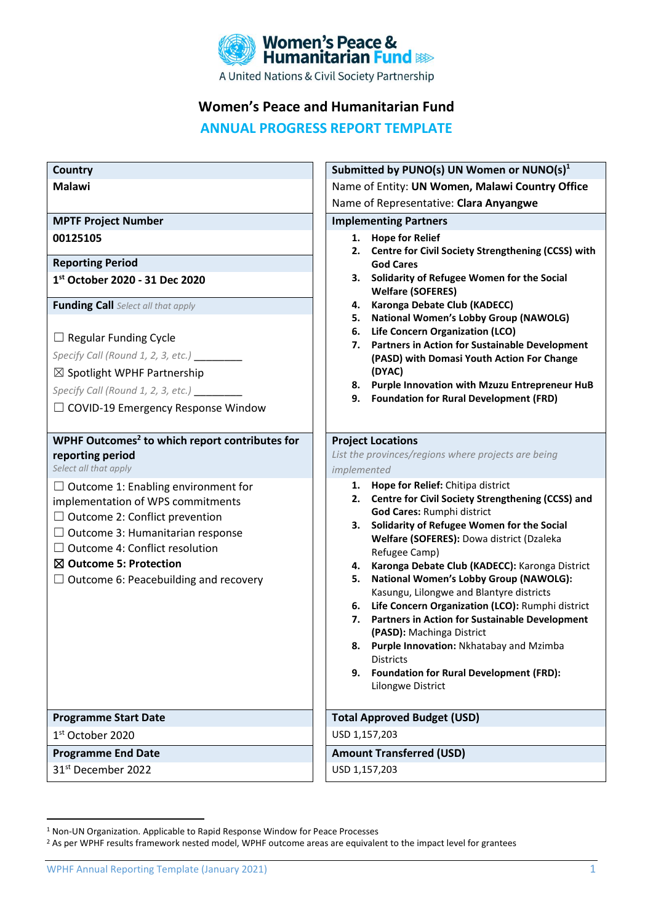

## **Women's Peace and Humanitarian Fund**

# **ANNUAL PROGRESS REPORT TEMPLATE**

| <b>Country</b>                                                                                                                                                                                                                                                                          | Submitted by PUNO(s) UN Women or NUNO(s) <sup>1</sup>                                                                                                                                                                                                                                                                                                                                                                                                                                                                                                                                                                                                                                                    |
|-----------------------------------------------------------------------------------------------------------------------------------------------------------------------------------------------------------------------------------------------------------------------------------------|----------------------------------------------------------------------------------------------------------------------------------------------------------------------------------------------------------------------------------------------------------------------------------------------------------------------------------------------------------------------------------------------------------------------------------------------------------------------------------------------------------------------------------------------------------------------------------------------------------------------------------------------------------------------------------------------------------|
| <b>Malawi</b>                                                                                                                                                                                                                                                                           | Name of Entity: UN Women, Malawi Country Office                                                                                                                                                                                                                                                                                                                                                                                                                                                                                                                                                                                                                                                          |
|                                                                                                                                                                                                                                                                                         | Name of Representative: Clara Anyangwe                                                                                                                                                                                                                                                                                                                                                                                                                                                                                                                                                                                                                                                                   |
| <b>MPTF Project Number</b>                                                                                                                                                                                                                                                              | <b>Implementing Partners</b>                                                                                                                                                                                                                                                                                                                                                                                                                                                                                                                                                                                                                                                                             |
| 00125105                                                                                                                                                                                                                                                                                | <b>Hope for Relief</b><br>1.<br>Centre for Civil Society Strengthening (CCSS) with<br>2.                                                                                                                                                                                                                                                                                                                                                                                                                                                                                                                                                                                                                 |
| <b>Reporting Period</b>                                                                                                                                                                                                                                                                 | <b>God Cares</b>                                                                                                                                                                                                                                                                                                                                                                                                                                                                                                                                                                                                                                                                                         |
| 1st October 2020 - 31 Dec 2020                                                                                                                                                                                                                                                          | Solidarity of Refugee Women for the Social<br>З.<br><b>Welfare (SOFERES)</b>                                                                                                                                                                                                                                                                                                                                                                                                                                                                                                                                                                                                                             |
| <b>Funding Call</b> Select all that apply                                                                                                                                                                                                                                               | Karonga Debate Club (KADECC)<br>4.                                                                                                                                                                                                                                                                                                                                                                                                                                                                                                                                                                                                                                                                       |
|                                                                                                                                                                                                                                                                                         | <b>National Women's Lobby Group (NAWOLG)</b><br>5.<br>Life Concern Organization (LCO)<br>6.                                                                                                                                                                                                                                                                                                                                                                                                                                                                                                                                                                                                              |
| $\Box$ Regular Funding Cycle                                                                                                                                                                                                                                                            | Partners in Action for Sustainable Development<br>7.                                                                                                                                                                                                                                                                                                                                                                                                                                                                                                                                                                                                                                                     |
| Specify Call (Round 1, 2, 3, etc.) _                                                                                                                                                                                                                                                    | (PASD) with Domasi Youth Action For Change                                                                                                                                                                                                                                                                                                                                                                                                                                                                                                                                                                                                                                                               |
| $\boxtimes$ Spotlight WPHF Partnership                                                                                                                                                                                                                                                  | (DYAC)                                                                                                                                                                                                                                                                                                                                                                                                                                                                                                                                                                                                                                                                                                   |
| Specify Call (Round 1, 2, 3, etc.) _____                                                                                                                                                                                                                                                | 8. Purple Innovation with Mzuzu Entrepreneur HuB<br><b>Foundation for Rural Development (FRD)</b><br>9.                                                                                                                                                                                                                                                                                                                                                                                                                                                                                                                                                                                                  |
| $\Box$ COVID-19 Emergency Response Window                                                                                                                                                                                                                                               |                                                                                                                                                                                                                                                                                                                                                                                                                                                                                                                                                                                                                                                                                                          |
|                                                                                                                                                                                                                                                                                         |                                                                                                                                                                                                                                                                                                                                                                                                                                                                                                                                                                                                                                                                                                          |
| WPHF Outcomes <sup>2</sup> to which report contributes for                                                                                                                                                                                                                              | <b>Project Locations</b><br>List the provinces/regions where projects are being                                                                                                                                                                                                                                                                                                                                                                                                                                                                                                                                                                                                                          |
| reporting period<br>Select all that apply                                                                                                                                                                                                                                               | implemented                                                                                                                                                                                                                                                                                                                                                                                                                                                                                                                                                                                                                                                                                              |
| $\Box$ Outcome 1: Enabling environment for<br>implementation of WPS commitments<br>$\Box$ Outcome 2: Conflict prevention<br>$\Box$ Outcome 3: Humanitarian response<br>$\Box$ Outcome 4: Conflict resolution<br>⊠ Outcome 5: Protection<br>$\Box$ Outcome 6: Peacebuilding and recovery | 1. Hope for Relief: Chitipa district<br>2. Centre for Civil Society Strengthening (CCSS) and<br>God Cares: Rumphi district<br>Solidarity of Refugee Women for the Social<br>3.<br>Welfare (SOFERES): Dowa district (Dzaleka<br>Refugee Camp)<br>Karonga Debate Club (KADECC): Karonga District<br>4.<br><b>National Women's Lobby Group (NAWOLG):</b><br>5.<br>Kasungu, Lilongwe and Blantyre districts<br>Life Concern Organization (LCO): Rumphi district<br>6.<br>Partners in Action for Sustainable Development<br>7.<br>(PASD): Machinga District<br>Purple Innovation: Nkhatabay and Mzimba<br>8.<br><b>Districts</b><br><b>Foundation for Rural Development (FRD):</b><br>9.<br>Lilongwe District |
| <b>Programme Start Date</b>                                                                                                                                                                                                                                                             | <b>Total Approved Budget (USD)</b>                                                                                                                                                                                                                                                                                                                                                                                                                                                                                                                                                                                                                                                                       |
| 1 <sup>st</sup> October 2020                                                                                                                                                                                                                                                            | USD 1,157,203                                                                                                                                                                                                                                                                                                                                                                                                                                                                                                                                                                                                                                                                                            |
| <b>Programme End Date</b>                                                                                                                                                                                                                                                               | <b>Amount Transferred (USD)</b>                                                                                                                                                                                                                                                                                                                                                                                                                                                                                                                                                                                                                                                                          |
| 31 <sup>st</sup> December 2022                                                                                                                                                                                                                                                          | USD 1,157,203                                                                                                                                                                                                                                                                                                                                                                                                                                                                                                                                                                                                                                                                                            |

<sup>1</sup> Non-UN Organization. Applicable to Rapid Response Window for Peace Processes

<sup>&</sup>lt;sup>2</sup> As per WPHF results framework nested model, WPHF outcome areas are equivalent to the impact level for grantees

WPHF Annual Reporting Template (January 2021) 1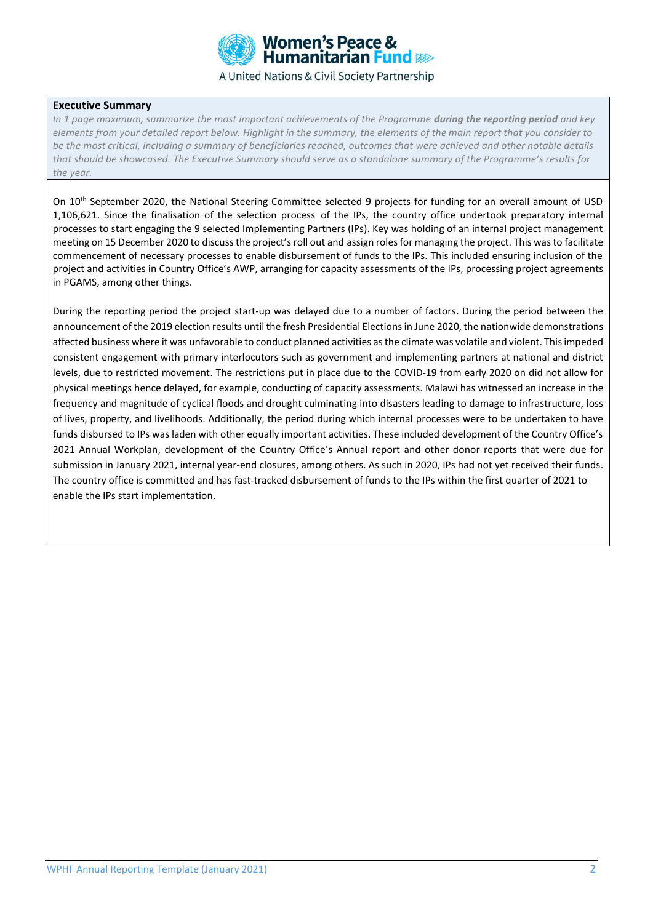

#### **Executive Summary**

*In 1 page maximum, summarize the most important achievements of the Programme <i>during the reporting period and key elements from your detailed report below. Highlight in the summary, the elements of the main report that you consider to be the most critical, including a summary of beneficiaries reached, outcomes that were achieved and other notable details that should be showcased. The Executive Summary should serve as a standalone summary of the Programme's results for the year.*

On 10<sup>th</sup> September 2020, the National Steering Committee selected 9 projects for funding for an overall amount of USD 1,106,621. Since the finalisation of the selection process of the IPs, the country office undertook preparatory internal processes to start engaging the 9 selected Implementing Partners (IPs). Key was holding of an internal project management meeting on 15 December 2020 to discuss the project's roll out and assign roles for managing the project. This was to facilitate commencement of necessary processes to enable disbursement of funds to the IPs. This included ensuring inclusion of the project and activities in Country Office's AWP, arranging for capacity assessments of the IPs, processing project agreements in PGAMS, among other things.

During the reporting period the project start-up was delayed due to a number of factors. During the period between the announcement of the 2019 election results until the fresh Presidential Elections in June 2020, the nationwide demonstrations affected business where it was unfavorable to conduct planned activities as the climate was volatile and violent. This impeded consistent engagement with primary interlocutors such as government and implementing partners at national and district levels, due to restricted movement. The restrictions put in place due to the COVID-19 from early 2020 on did not allow for physical meetings hence delayed, for example, conducting of capacity assessments. Malawi has witnessed an increase in the frequency and magnitude of cyclical floods and drought culminating into disasters leading to damage to infrastructure, loss of lives, property, and livelihoods. Additionally, the period during which internal processes were to be undertaken to have funds disbursed to IPs was laden with other equally important activities. These included development of the Country Office's 2021 Annual Workplan, development of the Country Office's Annual report and other donor reports that were due for submission in January 2021, internal year-end closures, among others. As such in 2020, IPs had not yet received their funds. The country office is committed and has fast-tracked disbursement of funds to the IPs within the first quarter of 2021 to enable the IPs start implementation.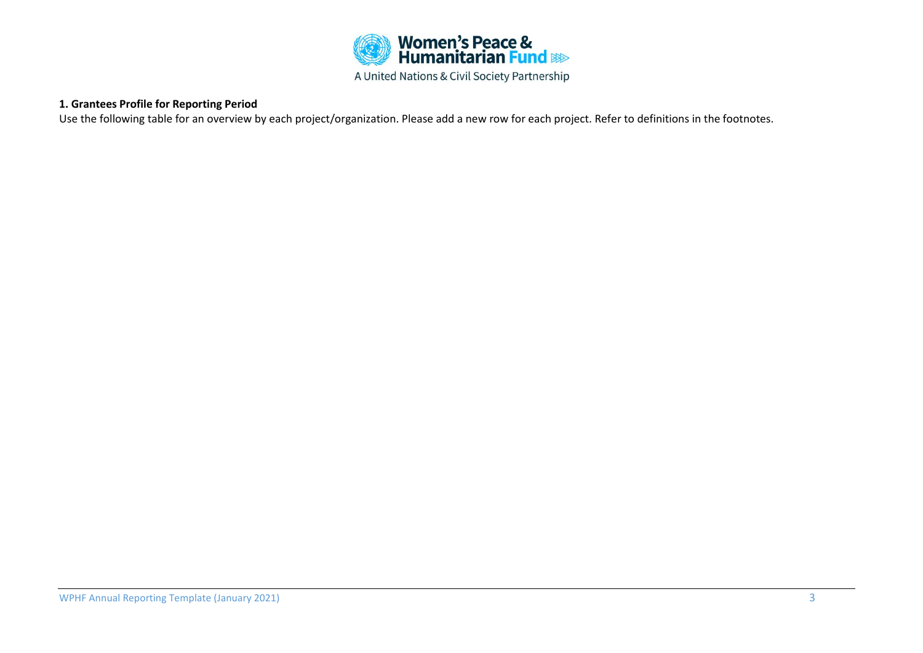

## **1. Grantees Profile for Reporting Period**

Use the following table for an overview by each project/organization. Please add a new row for each project. Refer to definitions in the footnotes.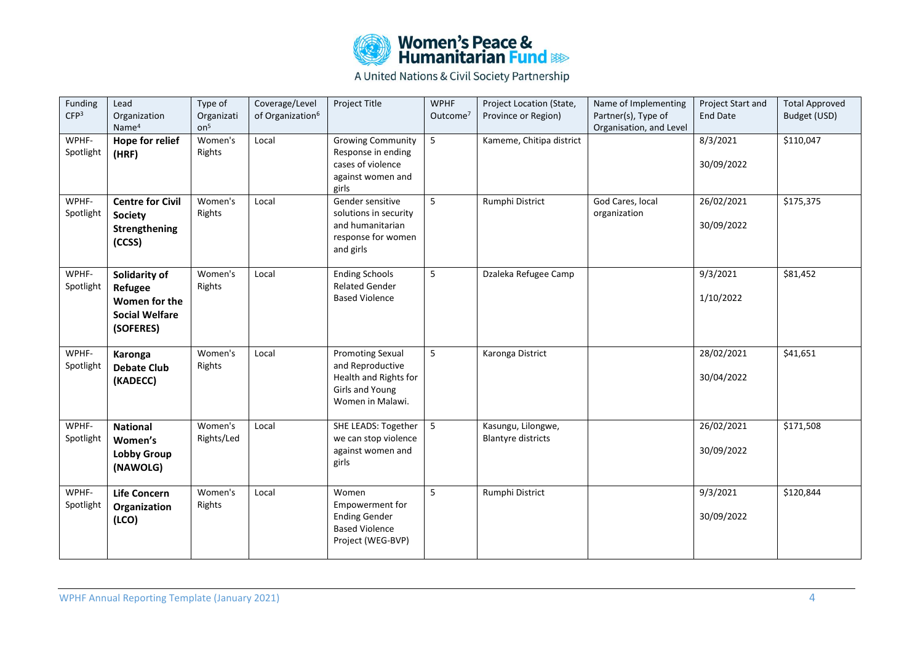

| Funding<br>CFP <sup>3</sup> | Lead<br>Organization<br>Name <sup>4</sup>                                       | Type of<br>Organizati<br>on <sup>5</sup> | Coverage/Level<br>of Organization <sup>6</sup> | Project Title                                                                                               | <b>WPHF</b><br>Outcome <sup>7</sup> | Project Location (State,<br>Province or Region) | Name of Implementing<br>Partner(s), Type of<br>Organisation, and Level | Project Start and<br><b>End Date</b> | <b>Total Approved</b><br>Budget (USD) |
|-----------------------------|---------------------------------------------------------------------------------|------------------------------------------|------------------------------------------------|-------------------------------------------------------------------------------------------------------------|-------------------------------------|-------------------------------------------------|------------------------------------------------------------------------|--------------------------------------|---------------------------------------|
| WPHF-<br>Spotlight          | <b>Hope for relief</b><br>(HRF)                                                 | Women's<br>Rights                        | Local                                          | <b>Growing Community</b><br>Response in ending<br>cases of violence<br>against women and<br>girls           | $5\phantom{.}$                      | Kameme, Chitipa district                        |                                                                        | 8/3/2021<br>30/09/2022               | \$110,047                             |
| WPHF-<br>Spotlight          | <b>Centre for Civil</b><br><b>Society</b><br>Strengthening<br>(CCSS)            | Women's<br>Rights                        | Local                                          | Gender sensitive<br>solutions in security<br>and humanitarian<br>response for women<br>and girls            | 5                                   | Rumphi District                                 | God Cares, local<br>organization                                       | 26/02/2021<br>30/09/2022             | \$175,375                             |
| WPHF-<br>Spotlight          | Solidarity of<br>Refugee<br>Women for the<br><b>Social Welfare</b><br>(SOFERES) | Women's<br>Rights                        | Local                                          | <b>Ending Schools</b><br><b>Related Gender</b><br><b>Based Violence</b>                                     | 5                                   | Dzaleka Refugee Camp                            |                                                                        | 9/3/2021<br>1/10/2022                | \$81,452                              |
| WPHF-<br>Spotlight          | Karonga<br><b>Debate Club</b><br>(KADECC)                                       | Women's<br>Rights                        | Local                                          | <b>Promoting Sexual</b><br>and Reproductive<br>Health and Rights for<br>Girls and Young<br>Women in Malawi. | 5                                   | Karonga District                                |                                                                        | 28/02/2021<br>30/04/2022             | \$41,651                              |
| WPHF-<br>Spotlight          | <b>National</b><br>Women's<br><b>Lobby Group</b><br>(NAWOLG)                    | Women's<br>Rights/Led                    | Local                                          | SHE LEADS: Together<br>we can stop violence<br>against women and<br>girls                                   | 5                                   | Kasungu, Lilongwe,<br><b>Blantyre districts</b> |                                                                        | 26/02/2021<br>30/09/2022             | \$171,508                             |
| WPHF-<br>Spotlight          | <b>Life Concern</b><br>Organization<br>(ICO)                                    | Women's<br>Rights                        | Local                                          | Women<br>Empowerment for<br><b>Ending Gender</b><br><b>Based Violence</b><br>Project (WEG-BVP)              | 5                                   | Rumphi District                                 |                                                                        | 9/3/2021<br>30/09/2022               | \$120,844                             |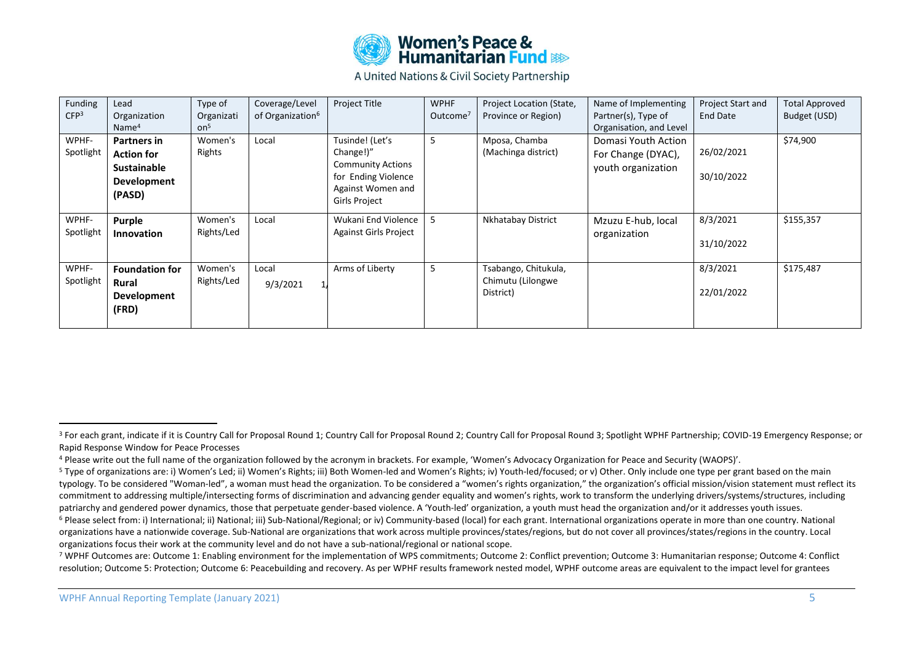

| Funding<br>CFP <sup>3</sup> | Lead<br>Organization<br>Name <sup>4</sup>                                                     | Type of<br>Organizati<br>on <sup>5</sup> | Coverage/Level<br>of Organization <sup>6</sup> | <b>Project Title</b>                                                                                                         | <b>WPHF</b><br>Outcome <sup>7</sup> | Project Location (State,<br>Province or Region)        | Name of Implementing<br>Partner(s), Type of<br>Organisation, and Level | Project Start and<br>End Date | <b>Total Approved</b><br>Budget (USD) |
|-----------------------------|-----------------------------------------------------------------------------------------------|------------------------------------------|------------------------------------------------|------------------------------------------------------------------------------------------------------------------------------|-------------------------------------|--------------------------------------------------------|------------------------------------------------------------------------|-------------------------------|---------------------------------------|
| WPHF-<br>Spotlight          | <b>Partners in</b><br><b>Action for</b><br><b>Sustainable</b><br><b>Development</b><br>(PASD) | Women's<br>Rights                        | Local                                          | Tusinde! (Let's<br>Change!)"<br><b>Community Actions</b><br>for Ending Violence<br>Against Women and<br><b>Girls Project</b> | 5                                   | Mposa, Chamba<br>(Machinga district)                   | Domasi Youth Action<br>For Change (DYAC),<br>youth organization        | 26/02/2021<br>30/10/2022      | \$74,900                              |
| WPHF-<br>Spotlight          | Purple<br><b>Innovation</b>                                                                   | Women's<br>Rights/Led                    | Local                                          | Wukani End Violence<br><b>Against Girls Project</b>                                                                          | 5                                   | Nkhatabay District                                     | Mzuzu E-hub, local<br>organization                                     | 8/3/2021<br>31/10/2022        | \$155,357                             |
| WPHF-<br>Spotlight          | <b>Foundation for</b><br><b>Rural</b><br><b>Development</b><br>(FRD)                          | Women's<br>Rights/Led                    | Local<br>9/3/2021                              | Arms of Liberty                                                                                                              | 5                                   | Tsabango, Chitukula,<br>Chimutu (Lilongwe<br>District) |                                                                        | 8/3/2021<br>22/01/2022        | \$175,487                             |

<sup>&</sup>lt;sup>3</sup> For each grant, indicate if it is Country Call for Proposal Round 1; Country Call for Proposal Round 2; Country Call for Proposal Round 3; Spotlight WPHF Partnership; COVID-19 Emergency Response; or Rapid Response Window for Peace Processes

<sup>4</sup> Please write out the full name of the organization followed by the acronym in brackets. For example, 'Women's Advocacy Organization for Peace and Security (WAOPS)'.

<sup>&</sup>lt;sup>5</sup> Type of organizations are: i) Women's Led; ii) Women's Rights; iii) Both Women-led and Women's Rights; iv) Youth-led/focused; or v) Other. Only include one type per grant based on the main typology. To be considered "Woman-led", a woman must head the organization. To be considered a "women's rights organization," the organization's official mission/vision statement must reflect its commitment to addressing multiple/intersecting forms of discrimination and advancing gender equality and women's rights, work to transform the underlying drivers/systems/structures, including patriarchy and gendered power dynamics, those that perpetuate gender-based violence. A 'Youth-led' organization, a youth must head the organization and/or it addresses youth issues.

<sup>&</sup>lt;sup>6</sup> Please select from: i) International; ii) National; iii) Sub-National/Regional; or iv) Community-based (local) for each grant. International organizations operate in more than one country. National organizations have a nationwide coverage. Sub-National are organizations that work across multiple provinces/states/regions, but do not cover all provinces/states/regions in the country. Local organizations focus their work at the community level and do not have a sub-national/regional or national scope.

<sup>7</sup> WPHF Outcomes are: Outcome 1: Enabling environment for the implementation of WPS commitments; Outcome 2: Conflict prevention; Outcome 3: Humanitarian response; Outcome 4: Conflict resolution; Outcome 5: Protection; Outcome 6: Peacebuilding and recovery. As per WPHF results framework nested model, WPHF outcome areas are equivalent to the impact level for grantees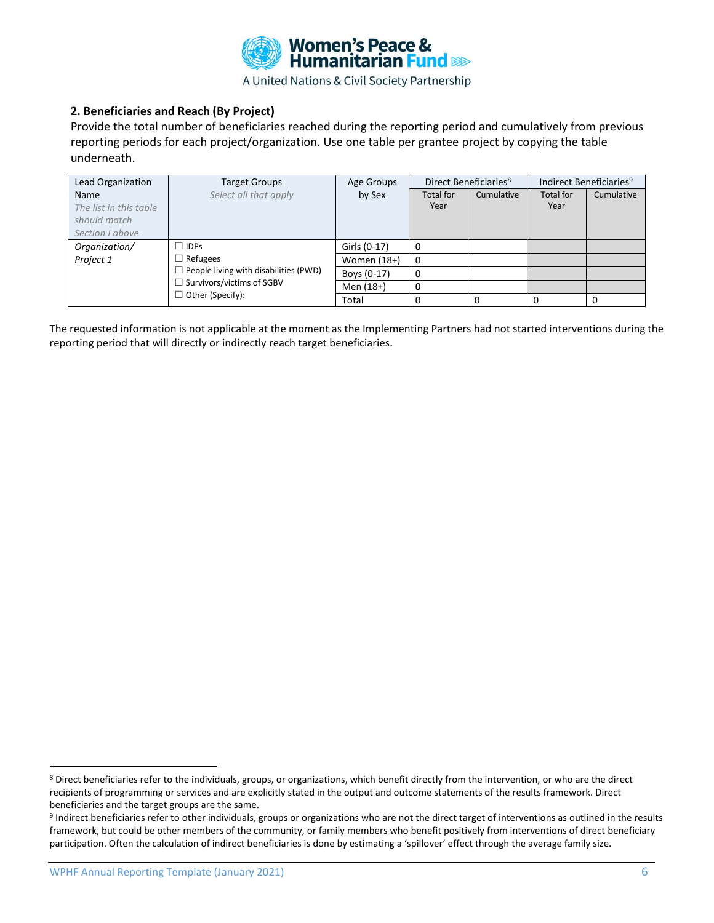

## **2. Beneficiaries and Reach (By Project)**

Provide the total number of beneficiaries reached during the reporting period and cumulatively from previous reporting periods for each project/organization. Use one table per grantee project by copying the table underneath.

| Lead Organization                                                                | Target Groups           | Age Groups    | Direct Beneficiaries <sup>8</sup> |            | Indirect Beneficiaries <sup>9</sup> |            |
|----------------------------------------------------------------------------------|-------------------------|---------------|-----------------------------------|------------|-------------------------------------|------------|
| Name                                                                             | Select all that apply   | by Sex        | Total for                         | Cumulative | <b>Total for</b>                    | Cumulative |
| The list in this table                                                           |                         |               | Year                              |            | Year                                |            |
| should match                                                                     |                         |               |                                   |            |                                     |            |
| Section I above                                                                  |                         |               |                                   |            |                                     |            |
| Organization/                                                                    | $\Box$ IDPs             | Girls (0-17)  | 0                                 |            |                                     |            |
| Project 1                                                                        | $\Box$ Refugees         | Women $(18+)$ | 0                                 |            |                                     |            |
| $\Box$ People living with disabilities (PWD)<br>$\Box$ Survivors/victims of SGBV | Boys (0-17)             | 0             |                                   |            |                                     |            |
|                                                                                  | $\Box$ Other (Specify): | Men (18+)     | 0                                 |            |                                     |            |
|                                                                                  |                         | Total         |                                   |            | 0                                   |            |

The requested information is not applicable at the moment as the Implementing Partners had not started interventions during the reporting period that will directly or indirectly reach target beneficiaries.

<sup>8</sup> Direct beneficiaries refer to the individuals, groups, or organizations, which benefit directly from the intervention, or who are the direct recipients of programming or services and are explicitly stated in the output and outcome statements of the results framework. Direct beneficiaries and the target groups are the same.

<sup>&</sup>lt;sup>9</sup> Indirect beneficiaries refer to other individuals, groups or organizations who are not the direct target of interventions as outlined in the results framework, but could be other members of the community, or family members who benefit positively from interventions of direct beneficiary participation. Often the calculation of indirect beneficiaries is done by estimating a 'spillover' effect through the average family size.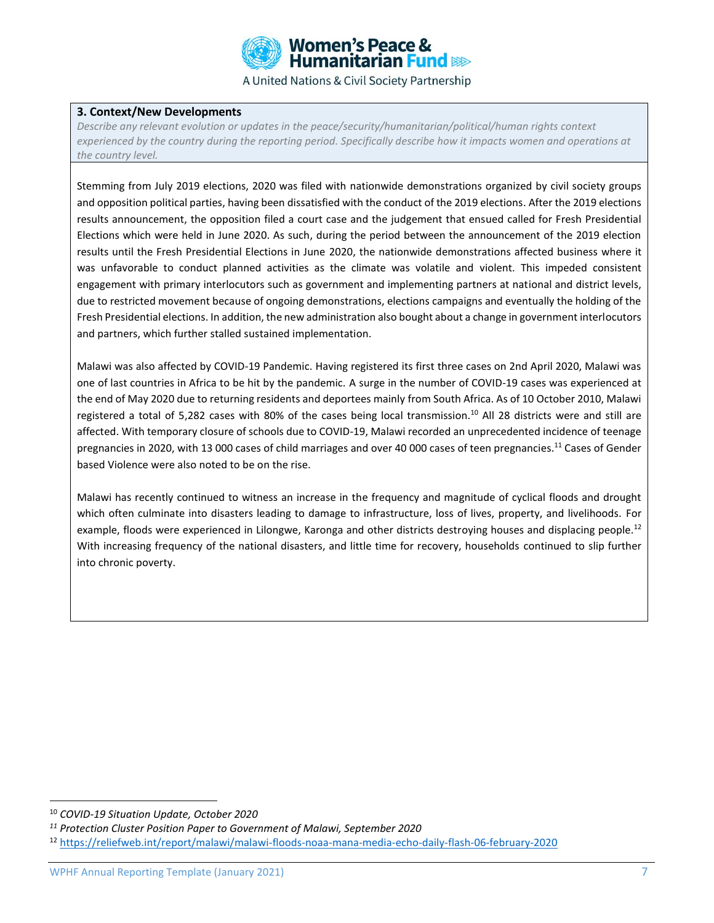

#### **3. Context/New Developments**

*Describe any relevant evolution or updates in the peace/security/humanitarian/political/human rights context experienced by the country during the reporting period. Specifically describe how it impacts women and operations at the country level.* 

Stemming from July 2019 elections, 2020 was filed with nationwide demonstrations organized by civil society groups and opposition political parties, having been dissatisfied with the conduct of the 2019 elections. After the 2019 elections results announcement, the opposition filed a court case and the judgement that ensued called for Fresh Presidential Elections which were held in June 2020. As such, during the period between the announcement of the 2019 election results until the Fresh Presidential Elections in June 2020, the nationwide demonstrations affected business where it was unfavorable to conduct planned activities as the climate was volatile and violent. This impeded consistent engagement with primary interlocutors such as government and implementing partners at national and district levels, due to restricted movement because of ongoing demonstrations, elections campaigns and eventually the holding of the Fresh Presidential elections. In addition, the new administration also bought about a change in government interlocutors and partners, which further stalled sustained implementation.

Malawi was also affected by COVID-19 Pandemic. Having registered its first three cases on 2nd April 2020, Malawi was one of last countries in Africa to be hit by the pandemic. A surge in the number of COVID-19 cases was experienced at the end of May 2020 due to returning residents and deportees mainly from South Africa. As of 10 October 2010, Malawi registered a total of 5,282 cases with 80% of the cases being local transmission.<sup>10</sup> All 28 districts were and still are affected. With temporary closure of schools due to COVID-19, Malawi recorded an unprecedented incidence of teenage pregnancies in 2020, with 13 000 cases of child marriages and over 40 000 cases of teen pregnancies.<sup>11</sup> Cases of Gender based Violence were also noted to be on the rise.

Malawi has recently continued to witness an increase in the frequency and magnitude of cyclical floods and drought which often culminate into disasters leading to damage to infrastructure, loss of lives, property, and livelihoods. For example, floods were experienced in Lilongwe, Karonga and other districts destroying houses and displacing people.<sup>12</sup> With increasing frequency of the national disasters, and little time for recovery, households continued to slip further into chronic poverty.

<sup>10</sup> *COVID-19 Situation Update, October 2020*

*<sup>11</sup> Protection Cluster Position Paper to Government of Malawi, September 2020*

<sup>12</sup> <https://reliefweb.int/report/malawi/malawi-floods-noaa-mana-media-echo-daily-flash-06-february-2020>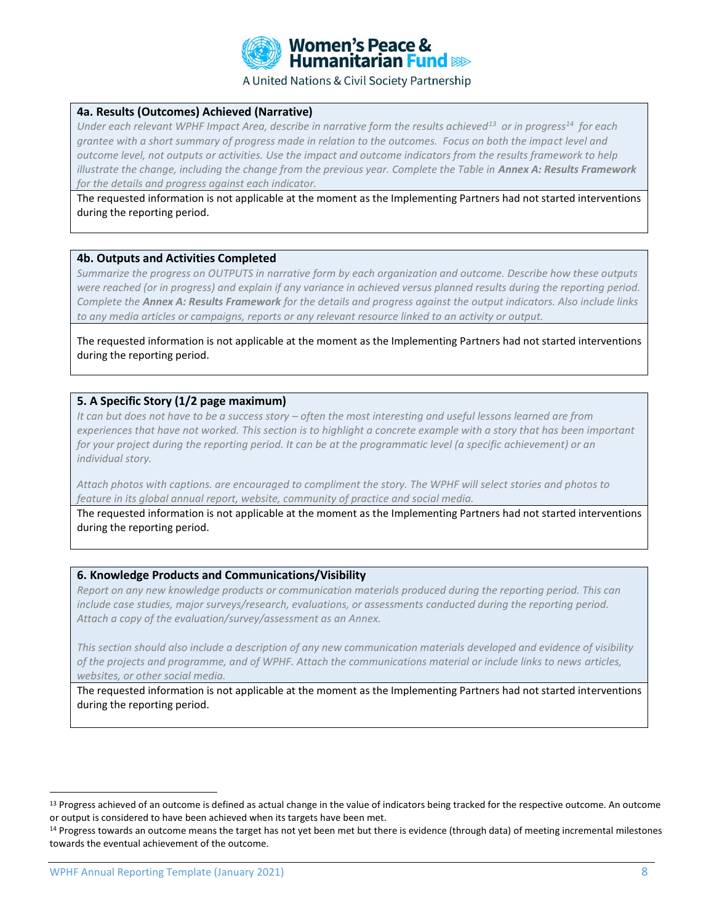

#### **4a. Results (Outcomes) Achieved (Narrative)**

*Under each relevant WPHF Impact Area, describe in narrative form the results achieved<sup>13</sup> or in progress<sup>14</sup> for each grantee with a short summary of progress made in relation to the outcomes. Focus on both the impact level and outcome level, not outputs or activities. Use the impact and outcome indicators from the results framework to help illustrate the change, including the change from the previous year. Complete the Table in Annex A: Results Framework for the details and progress against each indicator.*

The requested information is not applicable at the moment as the Implementing Partners had not started interventions during the reporting period.

#### **4b. Outputs and Activities Completed**

*Summarize the progress on OUTPUTS in narrative form by each organization and outcome. Describe how these outputs*  were reached (or in progress) and explain if any variance in achieved versus planned results during the reporting period. *Complete the Annex A: Results Framework for the details and progress against the output indicators. Also include links to any media articles or campaigns, reports or any relevant resource linked to an activity or output.* 

The requested information is not applicable at the moment as the Implementing Partners had not started interventions during the reporting period.

#### **5. A Specific Story (1/2 page maximum)**

*It can but does not have to be a success story – often the most interesting and useful lessons learned are from experiences that have not worked. This section is to highlight a concrete example with a story that has been important for your project during the reporting period. It can be at the programmatic level (a specific achievement) or an individual story.*

*Attach photos with captions. are encouraged to compliment the story. The WPHF will select stories and photos to feature in its global annual report, website, community of practice and social media.*

The requested information is not applicable at the moment as the Implementing Partners had not started interventions during the reporting period.

#### **6. Knowledge Products and Communications/Visibility**

*Report on any new knowledge products or communication materials produced during the reporting period. This can include case studies, major surveys/research, evaluations, or assessments conducted during the reporting period. Attach a copy of the evaluation/survey/assessment as an Annex.* 

*This section should also include a description of any new communication materials developed and evidence of visibility of the projects and programme, and of WPHF. Attach the communications material or include links to news articles, websites, or other social media.*

The requested information is not applicable at the moment as the Implementing Partners had not started interventions during the reporting period.

<sup>&</sup>lt;sup>13</sup> Progress achieved of an outcome is defined as actual change in the value of indicators being tracked for the respective outcome. An outcome or output is considered to have been achieved when its targets have been met.

<sup>&</sup>lt;sup>14</sup> Progress towards an outcome means the target has not yet been met but there is evidence (through data) of meeting incremental milestones towards the eventual achievement of the outcome.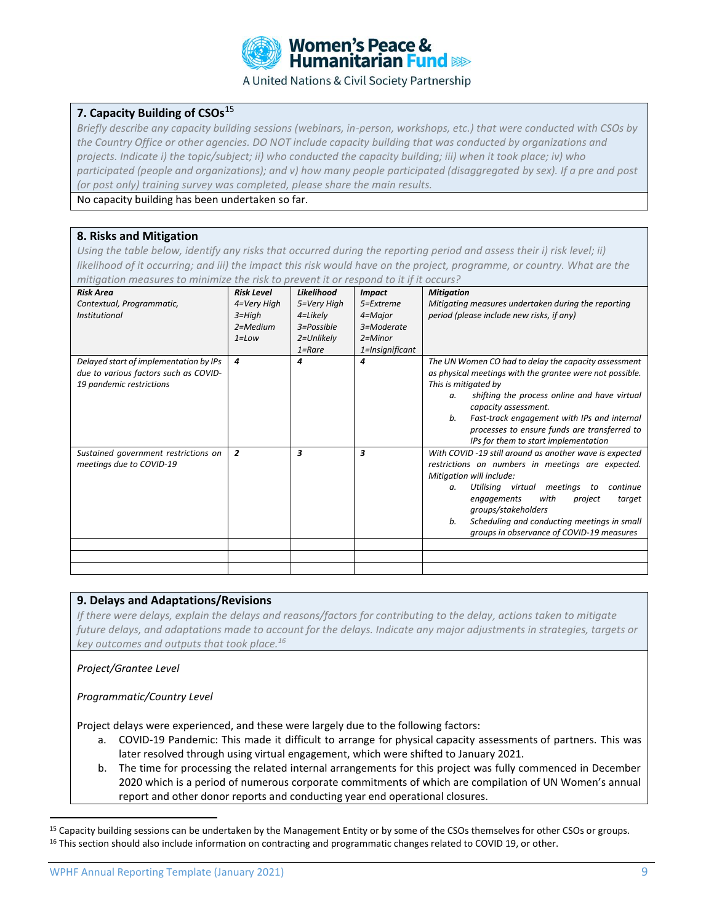

## **7. Capacity Building of CSOs**<sup>15</sup>

*Briefly describe any capacity building sessions (webinars, in-person, workshops, etc.) that were conducted with CSOs by*  the Country Office or other agencies. DO NOT include capacity building that was conducted by organizations and *projects. Indicate i) the topic/subject; ii) who conducted the capacity building; iii) when it took place; iv) who participated (people and organizations); and v) how many people participated (disaggregated by sex). If a pre and post (or post only) training survey was completed, please share the main results.* 

No capacity building has been undertaken so far.

#### **8. Risks and Mitigation**

Using the table below, identify any risks that occurred during the reporting period and assess their i) risk level; ii) *likelihood of it occurring; and iii) the impact this risk would have on the project, programme, or country. What are the mitigation measures to minimize the risk to prevent it or respond to it if it occurs?* 

| <b>Risk Area</b><br>Contextual, Programmatic,<br><b>Institutional</b>                                       | <b>Risk Level</b><br>4=Very High<br>$3 = High$<br>2=Medium<br>$1 = Low$ | Likelihood<br>5=Very High<br>4=Likely<br>3=Possible<br>2=Unlikely<br>$1 =$ Rare | <b>Impact</b><br>5=Extreme<br>4=Major<br>3=Moderate<br>$2 =$ Minor<br>1=Insignificant | <b>Mitigation</b><br>Mitigating measures undertaken during the reporting<br>period (please include new risks, if any)                                                                                                                                                                                                                                                  |
|-------------------------------------------------------------------------------------------------------------|-------------------------------------------------------------------------|---------------------------------------------------------------------------------|---------------------------------------------------------------------------------------|------------------------------------------------------------------------------------------------------------------------------------------------------------------------------------------------------------------------------------------------------------------------------------------------------------------------------------------------------------------------|
| Delayed start of implementation by IPs<br>due to various factors such as COVID-<br>19 pandemic restrictions | 4                                                                       | 4                                                                               | 4                                                                                     | The UN Women CO had to delay the capacity assessment<br>as physical meetings with the grantee were not possible.<br>This is mitigated by<br>shifting the process online and have virtual<br>a.<br>capacity assessment.<br>Fast-track engagement with IPs and internal<br>b.<br>processes to ensure funds are transferred to<br>IPs for them to start implementation    |
| Sustained government restrictions on<br>meetings due to COVID-19                                            | $\overline{2}$                                                          | 3                                                                               | 3                                                                                     | With COVID -19 still around as another wave is expected<br>restrictions on numbers in meetings are expected.<br>Mitigation will include:<br>meetings<br>continue<br>Utilising virtual<br>to<br>a.<br>with<br>engagements<br>target<br>project<br>groups/stakeholders<br>Scheduling and conducting meetings in small<br>b.<br>groups in observance of COVID-19 measures |

#### **9. Delays and Adaptations/Revisions**

*If there were delays, explain the delays and reasons/factors for contributing to the delay, actions taken to mitigate future delays, and adaptations made to account for the delays. Indicate any major adjustments in strategies, targets or key outcomes and outputs that took place.<sup>16</sup>*

#### *Project/Grantee Level*

*Programmatic/Country Level*

Project delays were experienced, and these were largely due to the following factors:

- a. COVID-19 Pandemic: This made it difficult to arrange for physical capacity assessments of partners. This was later resolved through using virtual engagement, which were shifted to January 2021.
- b. The time for processing the related internal arrangements for this project was fully commenced in December 2020 which is a period of numerous corporate commitments of which are compilation of UN Women's annual report and other donor reports and conducting year end operational closures.

<sup>&</sup>lt;sup>15</sup> Capacity building sessions can be undertaken by the Management Entity or by some of the CSOs themselves for other CSOs or groups. <sup>16</sup> This section should also include information on contracting and programmatic changes related to COVID 19, or other.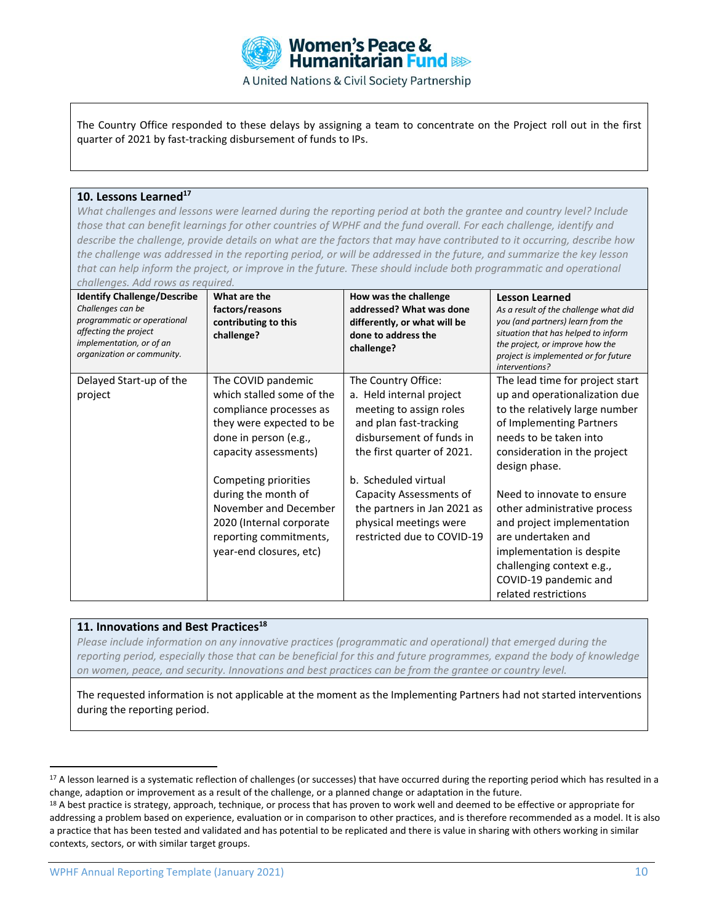

The Country Office responded to these delays by assigning a team to concentrate on the Project roll out in the first quarter of 2021 by fast-tracking disbursement of funds to IPs.

## **10. Lessons Learned<sup>17</sup>**

*What challenges and lessons were learned during the reporting period at both the grantee and country level? Include those that can benefit learnings for other countries of WPHF and the fund overall. For each challenge, identify and describe the challenge, provide details on what are the factors that may have contributed to it occurring, describe how the challenge was addressed in the reporting period, or will be addressed in the future, and summarize the key lesson that can help inform the project, or improve in the future. These should include both programmatic and operational challenges. Add rows as required.*

| <b>Identify Challenge/Describe</b><br>Challenges can be<br>programmatic or operational<br>affecting the project<br>implementation, or of an<br>organization or community. | What are the<br>factors/reasons<br>contributing to this<br>challenge?                                                                                                                                                                                                                                             | How was the challenge<br>addressed? What was done<br>differently, or what will be<br>done to address the<br>challenge?                                                                                                                                                                                   | <b>Lesson Learned</b><br>As a result of the challenge what did<br>you (and partners) learn from the<br>situation that has helped to inform<br>the project, or improve how the<br>project is implemented or for future<br>interventions?                                                                                                                                                                                                |
|---------------------------------------------------------------------------------------------------------------------------------------------------------------------------|-------------------------------------------------------------------------------------------------------------------------------------------------------------------------------------------------------------------------------------------------------------------------------------------------------------------|----------------------------------------------------------------------------------------------------------------------------------------------------------------------------------------------------------------------------------------------------------------------------------------------------------|----------------------------------------------------------------------------------------------------------------------------------------------------------------------------------------------------------------------------------------------------------------------------------------------------------------------------------------------------------------------------------------------------------------------------------------|
| Delayed Start-up of the<br>project                                                                                                                                        | The COVID pandemic<br>which stalled some of the<br>compliance processes as<br>they were expected to be<br>done in person (e.g.,<br>capacity assessments)<br>Competing priorities<br>during the month of<br>November and December<br>2020 (Internal corporate<br>reporting commitments,<br>year-end closures, etc) | The Country Office:<br>a. Held internal project<br>meeting to assign roles<br>and plan fast-tracking<br>disbursement of funds in<br>the first quarter of 2021.<br>b. Scheduled virtual<br>Capacity Assessments of<br>the partners in Jan 2021 as<br>physical meetings were<br>restricted due to COVID-19 | The lead time for project start<br>up and operationalization due<br>to the relatively large number<br>of Implementing Partners<br>needs to be taken into<br>consideration in the project<br>design phase.<br>Need to innovate to ensure<br>other administrative process<br>and project implementation<br>are undertaken and<br>implementation is despite<br>challenging context e.g.,<br>COVID-19 pandemic and<br>related restrictions |

#### **11. Innovations and Best Practices<sup>18</sup>**

*Please include information on any innovative practices (programmatic and operational) that emerged during the reporting period, especially those that can be beneficial for this and future programmes, expand the body of knowledge on women, peace, and security. Innovations and best practices can be from the grantee or country level.* 

The requested information is not applicable at the moment as the Implementing Partners had not started interventions during the reporting period.

<sup>&</sup>lt;sup>17</sup> A lesson learned is a systematic reflection of challenges (or successes) that have occurred during the reporting period which has resulted in a change, adaption or improvement as a result of the challenge, or a planned change or adaptation in the future.

<sup>&</sup>lt;sup>18</sup> A best practice is strategy, approach, technique, or process that has proven to work well and deemed to be effective or appropriate for addressing a problem based on experience, evaluation or in comparison to other practices, and is therefore recommended as a model. It is also a practice that has been tested and validated and has potential to be replicated and there is value in sharing with others working in similar contexts, sectors, or with similar target groups.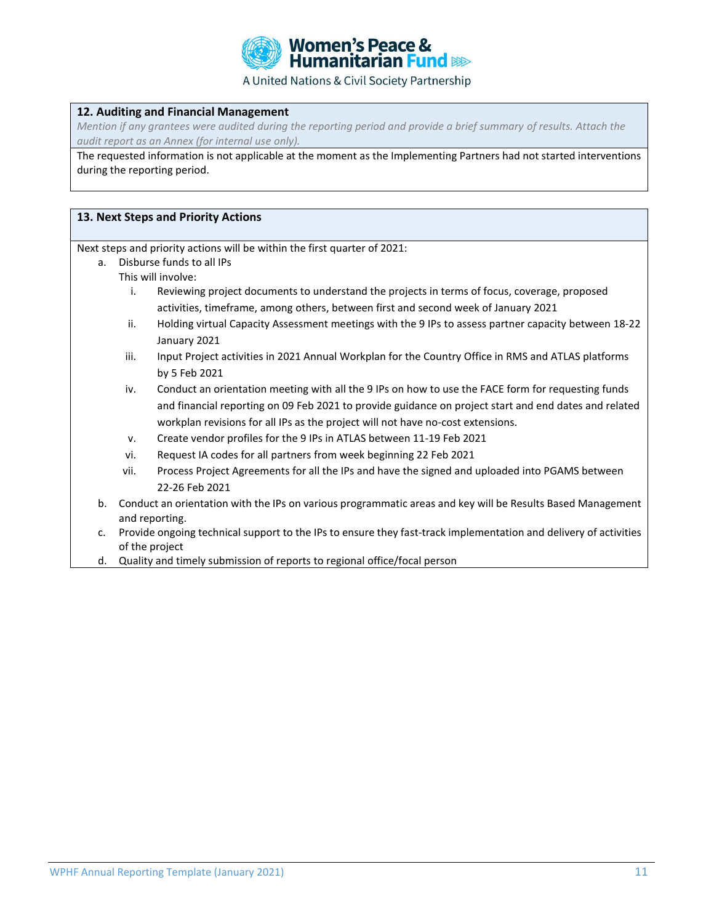

#### **12. Auditing and Financial Management**

*Mention if any grantees were audited during the reporting period and provide a brief summary of results. Attach the audit report as an Annex (for internal use only).*

The requested information is not applicable at the moment as the Implementing Partners had not started interventions during the reporting period.

#### **13. Next Steps and Priority Actions**

Next steps and priority actions will be within the first quarter of 2021:

- a. Disburse funds to all IPs
	- This will involve:
		- i. Reviewing project documents to understand the projects in terms of focus, coverage, proposed activities, timeframe, among others, between first and second week of January 2021
		- ii. Holding virtual Capacity Assessment meetings with the 9 IPs to assess partner capacity between 18-22 January 2021
		- iii. Input Project activities in 2021 Annual Workplan for the Country Office in RMS and ATLAS platforms by 5 Feb 2021
		- iv. Conduct an orientation meeting with all the 9 IPs on how to use the FACE form for requesting funds and financial reporting on 09 Feb 2021 to provide guidance on project start and end dates and related workplan revisions for all IPs as the project will not have no-cost extensions.
		- v. Create vendor profiles for the 9 IPs in ATLAS between 11-19 Feb 2021
	- vi. Request IA codes for all partners from week beginning 22 Feb 2021
	- vii. Process Project Agreements for all the IPs and have the signed and uploaded into PGAMS between 22-26 Feb 2021
- b. Conduct an orientation with the IPs on various programmatic areas and key will be Results Based Management and reporting.
- c. Provide ongoing technical support to the IPs to ensure they fast-track implementation and delivery of activities of the project
- d. Quality and timely submission of reports to regional office/focal person